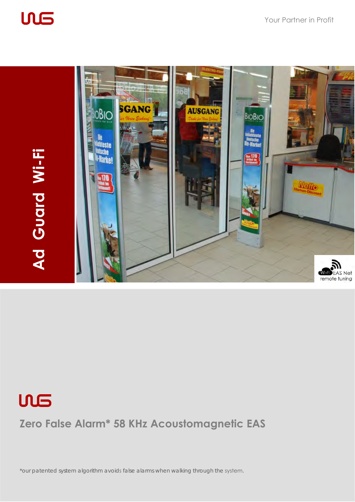

**ULS** 





**Zero False Alarm\* 58 KHz Acoustomagnetic EAS**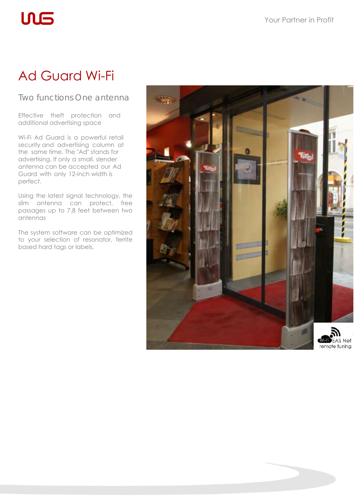## Ad Guard Wi-Fi

**ULS** 

## Two functions One antenna

Effective theft protection and additional advertising space

Wi-Fi Ad Guard is a powerful retail security and advertising column at the same time. The "Ad" stands for advertising. If only a small, slender antenna can be accepted our Ad Guard with only 12-inch width is perfect.

Using the latest signal technology, the slim antenna can protect, free passages up to 7.8 feet between two antennas

The system software can be optimized to your selection of resonator, ferrite based hard tags or labels.

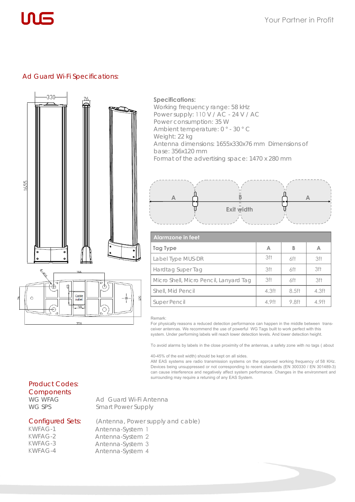

#### Ad Guard Wi-Fi Specifications:



#### **Specifications:**

Working frequency range: 58 kHz Power supply: 110 V / AC - 24 V / AC Power consumption: 35 W Ambient temperature: 0 ° - 30 ° C Weight: 22 kg Antenna dimensions: 1655x330x76 mm Dimensions of base: 356x120 mm Format of the advertising space: 1470 x 280 mm



| Alarmzone in feet                      |                   |       |                   |  |
|----------------------------------------|-------------------|-------|-------------------|--|
| Tag Type                               | A                 | В     | A                 |  |
| Label Type MUS-DR                      | 3ft               | 6ft   | 3ft               |  |
| Hardtag Super Tag                      | 3ft               | 6ft   | 3ft               |  |
| Micro Shell, Micro Pencil, Lanyard Tag | 3ft               | 6ft   | 3ft               |  |
| Shell, Mid Pencil                      | 4.3 <sub>ft</sub> | 8.5ft | 4.3 <sub>ft</sub> |  |
| Super Pencil                           | 4.9ft             | 9.8ft | 4.9ft             |  |

#### Remark:

For physically reasons a reduced detection performance can happen in the middle between transceiver antennas. We recommend the use of powerful WG Tags built to work perfect with this system. Under performing labels will reach lower detection levels. And lower detection height.

To avoid alarms by labels in the close proximity of the antennas, a safety zone with no tags ( about

40-45% of the exit width) should be kept on all sides.

AM EAS systems are radio transmission systems on the approved working frequency of 58 KHz. Devices being unsuppressed or not corresponding to recent standards (EN 300330 / EN 301489-3) can cause interference and negatively affect system performance. Changes in the environment and surrounding may require a retuning of any EAS System.

#### Product Codes: **Components**

WG WFAG WG SPS

Ad Guard Wi-Fi Antenna Smart Power Supply

Antenna-System 3 Antenna-System 4

#### Configured Sets:

KWFAG-1 KWFAG-2 KWFAG-3 KWFAG-4

(Antenna, Power supply and cable) Antenna-System 1 Antenna-System 2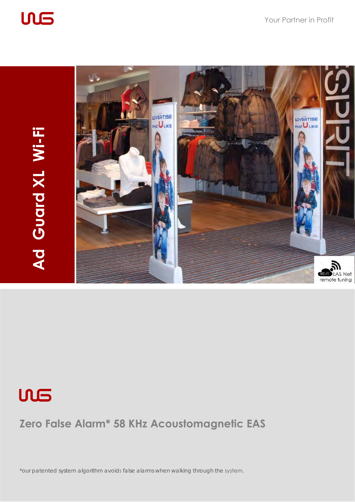





## **Zero False Alarm\* 58 KHz Acoustomagnetic EAS**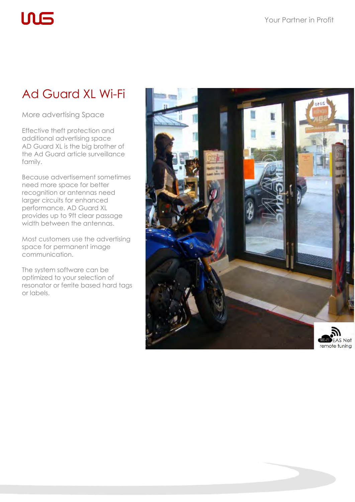# **UL5**

## Ad Guard XL Wi-Fi

More advertising Space

Effective theft protection and additional advertising space AD Guard XL is the big brother of the Ad Guard article surveillance family.

Because advertisement sometimes need more space for better recognition or antennas need larger circuits for enhanced performance. AD Guard XL provides up to 9ft clear passage width between the antennas.

Most customers use the advertising space for permanent image communication.

The system software can be optimized to your selection of resonator or ferrite based hard tags or labels.

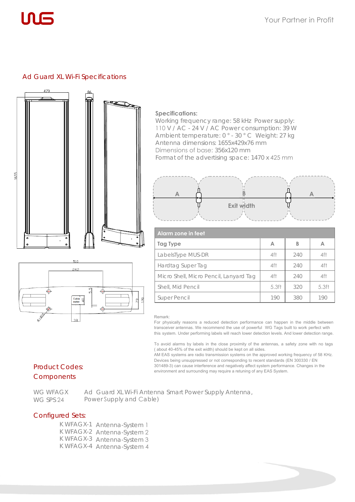

#### Ad Guard XL Wi-Fi Specifications



#### **Specifications:**

Working frequency range: 58 kHz Power supply: 110 V / AC - 24 V / AC Power consumption: 39 W Ambient temperature: 0 ° - 30 ° C Weight: 27 kg Antenna dimensions: 1655x429x76 mm Dimensions of base: 356x120 mm Format of the advertising space: 1470 x 425 mm



| <b>Alarm zone in feet</b>              |                   |     |                   |  |
|----------------------------------------|-------------------|-----|-------------------|--|
| Tag Type                               | A                 | В   | А                 |  |
| LabelsType MUS-DR                      | 4ft               | 240 | 4ft               |  |
| Hardtag Super Tag                      | 4ft               | 240 | 4ft               |  |
| Micro Shell, Micro Pencil, Lanyard Tag | 4ft               | 240 | 4ft               |  |
| Shell, Mid Pencil                      | 5.3 <sub>ft</sub> | 320 | 5.3 <sub>ft</sub> |  |
| <b>Super Pencil</b>                    | 190               | 380 | 190               |  |

#### Remark:

For physically reasons a reduced detection performance can happen in the middle between transceiver antennas. We recommend the use of powerful WG Tags built to work perfect with this system. Under performing labels will reach lower detection levels. And lower detection range.

To avoid alarms by labels in the close proximity of the antennas, a safety zone with no tags ( about 40-45% of the exit width) should be kept on all sides.

AM EAS systems are radio transmission systems on the approved working frequency of 58 KHz. Devices being unsuppressed or not corresponding to recent standards (EN 300330 / EN 301489-3) can cause interference and negatively affect system performance. Changes in the environment and surrounding may require a retuning of any EAS System.

#### Product Codes: Components

WG WFAGX WG SPS 24

Ad Guard XL Wi-Fi Antenna Smart Power Supply Antenna, Power Supply and Cable)

#### Configured Sets:

K WFAGX-1 Antenna-System 1 K WFAGX-2 Antenna-System 2 K WFAGX-3 Antenna-System 3 K WFAGX-4 Antenna-System 4

 $\overline{\Phi}$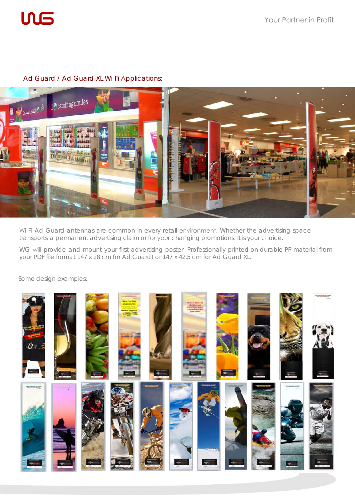

### Ad Guard / Ad Guard XL Wi-Fi Applications:



Wi-Fi Ad Guard antennas are common in every retail environment. Whether the advertising space transports a permanent advertising claim or for your changing promotions. It is your choice.

WG will provide and mount your first advertising poster. Professionally printed on durable PP material from your PDF file format 147 x 28 cm for Ad Guard) or 147 x 42.5 cm for Ad Guard XL.

Some design examples:

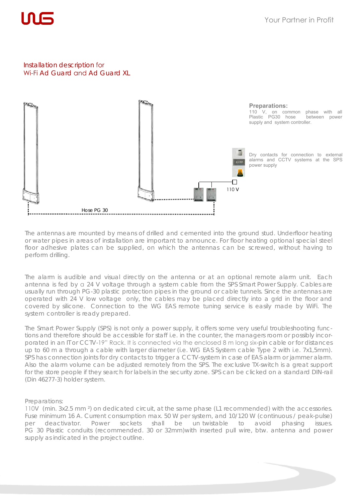

#### Installation description for Wi-Fi Ad Guard and Ad Guard XL



The antennas are mounted by means of drilled and cemented into the ground stud. Underfloor heating or water pipes in areas of installation are important to announce. For floor heating optional special steel floor adhesive plates can be supplied, on which the antennas can be screwed, without having to perform drilling.

The alarm is audible and visual directly on the antenna or at an optional remote alarm unit. Each antenna is fed by a 24 V voltage through a system cable from the SPS Smart Power Supply. Cables are usually run through PG-30 plastic protection pipes in the ground or cable tunnels. Since the antennas are operated with 24 V low voltage only, the cables may be placed directly into a grid in the floor and covered by silicone. Connection to the WG EAS remote tuning service is easily made by WiFi. The system controller is ready prepared.

The Smart Power Supply (SPS) is not only a power supply, it offers some very useful troubleshooting functions and therefore should be accessible for staff i.e. in the counter, the managers room or possibly incorporated in an IT or CCTV-19" Rack. It is connected via the enclosed 8 m long six-pin cable or for distances up to 60 m a through a cable with larger diameter (i.e. WG EAS System cable Type 2 with i.e. 7x1,5mm). SPS has connection joints for dry contacts to trigger a CCTV-system in case of EAS alarm or jammer alarm. Also the alarm volume can be adjusted remotely from the SPS. The exclusive TX-switch is a great support for the store people if they search for labels in the security zone. SPS can be clicked on a standard DIN-rail (Din 46277-3) holder system.

#### Preparations:

110V (min. 3x2.5 mm ²) on dedicated circuit, at the same phase (L1 recommended) with the accessories. Fuse minimum 16 A. Current consumption max. 50 W per system, and 10/120 W (continuous / peak-pulse) per deactivator. Power sockets shall be un twistable to avoid phasing issues. PG 30 Plastic conduits (recommended. 30 or 32mm)with inserted pull wire, btw. antenna and power supply as indicated in the project outline.